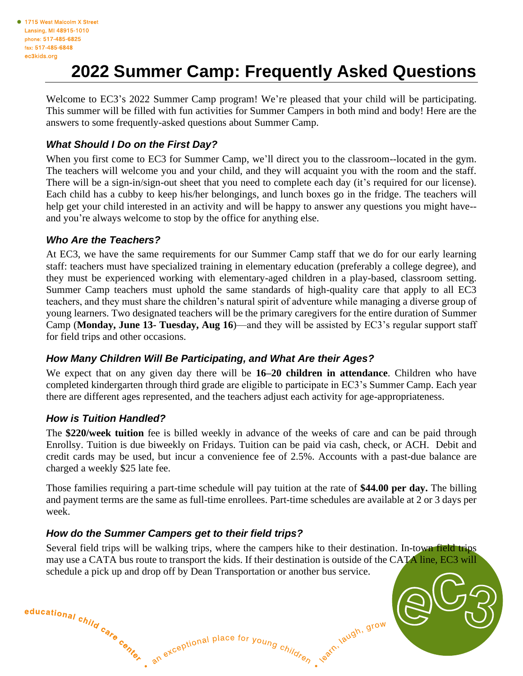# **2022 Summer Camp: Frequently Asked Questions**

Welcome to EC3's 2022 Summer Camp program! We're pleased that your child will be participating. This summer will be filled with fun activities for Summer Campers in both mind and body! Here are the answers to some frequently-asked questions about Summer Camp.

# *What Should I Do on the First Day?*

When you first come to EC3 for Summer Camp, we'll direct you to the classroom--located in the gym. The teachers will welcome you and your child, and they will acquaint you with the room and the staff. There will be a sign-in/sign-out sheet that you need to complete each day (it's required for our license). Each child has a cubby to keep his/her belongings, and lunch boxes go in the fridge. The teachers will help get your child interested in an activity and will be happy to answer any questions you might have- and you're always welcome to stop by the office for anything else.

#### *Who Are the Teachers?*

At EC3, we have the same requirements for our Summer Camp staff that we do for our early learning staff: teachers must have specialized training in elementary education (preferably a college degree), and they must be experienced working with elementary-aged children in a play-based, classroom setting. Summer Camp teachers must uphold the same standards of high-quality care that apply to all EC3 teachers, and they must share the children's natural spirit of adventure while managing a diverse group of young learners. Two designated teachers will be the primary caregivers for the entire duration of Summer Camp (**Monday, June 13- Tuesday, Aug 16**)—and they will be assisted by EC3's regular support staff for field trips and other occasions.

# *How Many Children Will Be Participating, and What Are their Ages?*

We expect that on any given day there will be **16–20 children in attendance**. Children who have completed kindergarten through third grade are eligible to participate in EC3's Summer Camp. Each year there are different ages represented, and the teachers adjust each activity for age-appropriateness.

# *How is Tuition Handled?*

The **\$220/week tuition** fee is billed weekly in advance of the weeks of care and can be paid through Enrollsy. Tuition is due biweekly on Fridays. Tuition can be paid via cash, check, or ACH. Debit and credit cards may be used, but incur a convenience fee of 2.5%. Accounts with a past-due balance are charged a weekly \$25 late fee.

Those families requiring a part-time schedule will pay tuition at the rate of **\$44.00 per day.** The billing and payment terms are the same as full-time enrollees. Part-time schedules are available at 2 or 3 days per week.

# *How do the Summer Campers get to their field trips?*

Several field trips will be walking trips, where the campers hike to their destination. In-town field trips may use a CATA bus route to transport the kids. If their destination is outside of the CATA line, EC3 will schedule a pick up and drop off by Dean Transportation or another bus service.

an exceptional place for young children, earth, augh, grow

educational child  $c_{a_{r_{e}}}}^{c_{b}}$  and  $c_{a_{r_{e}}}}$ .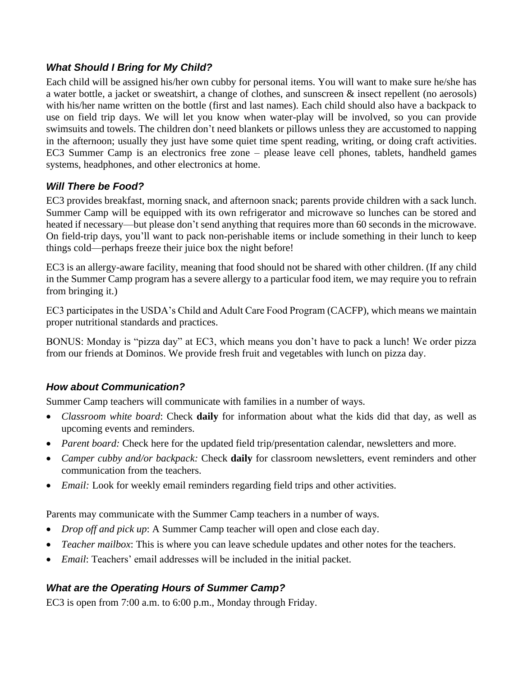## *What Should I Bring for My Child?*

Each child will be assigned his/her own cubby for personal items. You will want to make sure he/she has a water bottle, a jacket or sweatshirt, a change of clothes, and sunscreen & insect repellent (no aerosols) with his/her name written on the bottle (first and last names). Each child should also have a backpack to use on field trip days. We will let you know when water-play will be involved, so you can provide swimsuits and towels. The children don't need blankets or pillows unless they are accustomed to napping in the afternoon; usually they just have some quiet time spent reading, writing, or doing craft activities. EC3 Summer Camp is an electronics free zone – please leave cell phones, tablets, handheld games systems, headphones, and other electronics at home.

## *Will There be Food?*

EC3 provides breakfast, morning snack, and afternoon snack; parents provide children with a sack lunch. Summer Camp will be equipped with its own refrigerator and microwave so lunches can be stored and heated if necessary—but please don't send anything that requires more than 60 seconds in the microwave. On field-trip days, you'll want to pack non-perishable items or include something in their lunch to keep things cold—perhaps freeze their juice box the night before!

EC3 is an allergy-aware facility, meaning that food should not be shared with other children. (If any child in the Summer Camp program has a severe allergy to a particular food item, we may require you to refrain from bringing it.)

EC3 participates in the USDA's Child and Adult Care Food Program (CACFP), which means we maintain proper nutritional standards and practices.

BONUS: Monday is "pizza day" at EC3, which means you don't have to pack a lunch! We order pizza from our friends at Dominos. We provide fresh fruit and vegetables with lunch on pizza day.

#### *How about Communication?*

Summer Camp teachers will communicate with families in a number of ways.

- *Classroom white board*: Check **daily** for information about what the kids did that day, as well as upcoming events and reminders.
- *Parent board:* Check here for the updated field trip/presentation calendar, newsletters and more.
- *Camper cubby and/or backpack:* Check **daily** for classroom newsletters, event reminders and other communication from the teachers.
- *Email:* Look for weekly email reminders regarding field trips and other activities.

Parents may communicate with the Summer Camp teachers in a number of ways.

- *Drop off and pick up*: A Summer Camp teacher will open and close each day.
- *Teacher mailbox*: This is where you can leave schedule updates and other notes for the teachers.
- *Email*: Teachers' email addresses will be included in the initial packet.

# *What are the Operating Hours of Summer Camp?*

EC3 is open from 7:00 a.m. to 6:00 p.m., Monday through Friday.